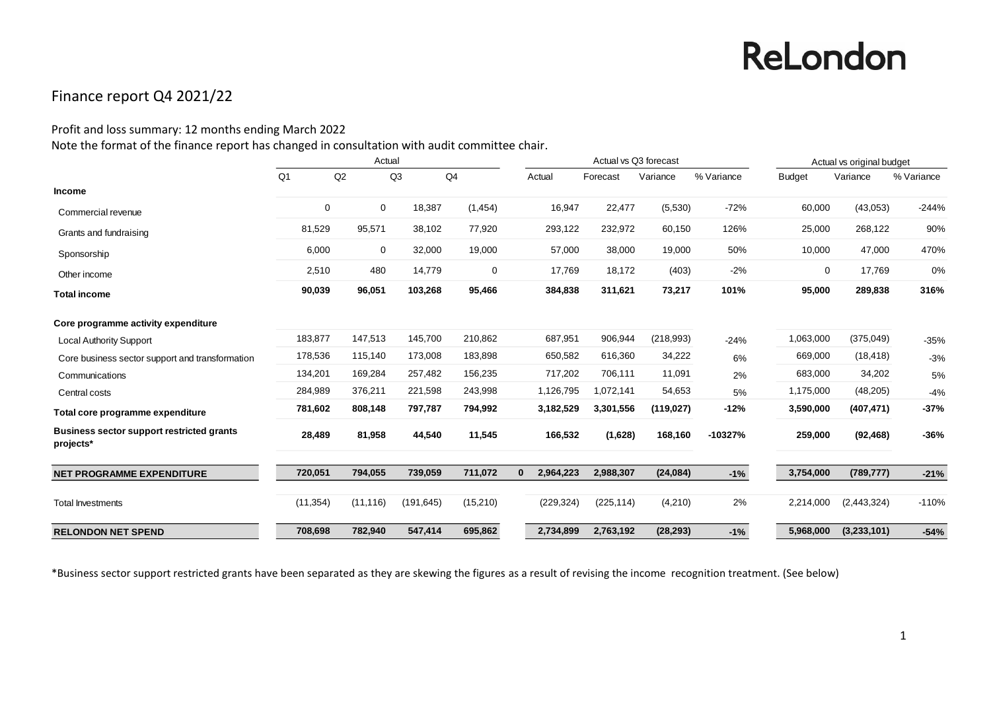### Finance report Q4 2021/22

#### Profit and loss summary: 12 months ending March 2022

Note the format of the finance report has changed in consultation with audit committee chair.

|                                                               | Actual         |             |            |          |              | Actual vs Q3 forecast |            |            |            | Actual vs original budget |             |            |
|---------------------------------------------------------------|----------------|-------------|------------|----------|--------------|-----------------------|------------|------------|------------|---------------------------|-------------|------------|
|                                                               | Q <sub>1</sub> | Q2          | Q3         | Q4       |              | Actual                | Forecast   | Variance   | % Variance | <b>Budget</b>             | Variance    | % Variance |
| <b>Income</b>                                                 |                |             |            |          |              |                       |            |            |            |                           |             |            |
| Commercial revenue                                            | 0              | $\mathbf 0$ | 18,387     | (1, 454) |              | 16,947                | 22,477     | (5,530)    | $-72%$     | 60,000                    | (43,053)    | $-244%$    |
| Grants and fundraising                                        | 81,529         | 95,571      | 38,102     | 77,920   |              | 293,122               | 232,972    | 60,150     | 126%       | 25,000                    | 268,122     | 90%        |
| Sponsorship                                                   | 6,000          | $\mathbf 0$ | 32,000     | 19,000   |              | 57,000                | 38,000     | 19,000     | 50%        | 10,000                    | 47,000      | 470%       |
| Other income                                                  | 2,510          | 480         | 14,779     | 0        |              | 17,769                | 18,172     | (403)      | $-2%$      | 0                         | 17,769      | 0%         |
| <b>Total income</b>                                           | 90,039         | 96,051      | 103,268    | 95,466   |              | 384,838               | 311,621    | 73,217     | 101%       | 95,000                    | 289,838     | 316%       |
| Core programme activity expenditure                           |                |             |            |          |              |                       |            |            |            |                           |             |            |
| <b>Local Authority Support</b>                                | 183,877        | 147,513     | 145,700    | 210,862  |              | 687,951               | 906,944    | (218,993)  | $-24%$     | 1,063,000                 | (375,049)   | $-35%$     |
| Core business sector support and transformation               | 178,536        | 115,140     | 173,008    | 183,898  |              | 650,582               | 616,360    | 34,222     | 6%         | 669,000                   | (18, 418)   | $-3%$      |
| Communications                                                | 134,201        | 169,284     | 257,482    | 156,235  |              | 717,202               | 706,111    | 11,091     | 2%         | 683,000                   | 34,202      | 5%         |
| Central costs                                                 | 284,989        | 376,211     | 221,598    | 243,998  |              | 1,126,795             | 1,072,141  | 54,653     | 5%         | 1,175,000                 | (48, 205)   | $-4%$      |
| Total core programme expenditure                              | 781,602        | 808,148     | 797,787    | 794,992  |              | 3,182,529             | 3,301,556  | (119, 027) | $-12%$     | 3,590,000                 | (407, 471)  | $-37%$     |
| <b>Business sector support restricted grants</b><br>projects* | 28,489         | 81,958      | 44,540     | 11,545   |              | 166,532               | (1,628)    | 168,160    | $-10327%$  | 259,000                   | (92, 468)   | $-36%$     |
| <b>NET PROGRAMME EXPENDITURE</b>                              | 720,051        | 794,055     | 739,059    | 711,072  | $\mathbf{0}$ | 2,964,223             | 2,988,307  | (24, 084)  | $-1%$      | 3,754,000                 | (789, 777)  | $-21%$     |
| <b>Total Investments</b>                                      | (11, 354)      | (11, 116)   | (191, 645) | (15,210) |              | (229, 324)            | (225, 114) | (4,210)    | 2%         | 2,214,000                 | (2,443,324) | $-110%$    |
| <b>RELONDON NET SPEND</b>                                     | 708,698        | 782,940     | 547,414    | 695,862  |              | 2,734,899             | 2,763,192  | (28, 293)  | $-1%$      | 5,968,000                 | (3,233,101) | $-54%$     |

\*Business sector support restricted grants have been separated as they are skewing the figures as a result of revising the income recognition treatment. (See below)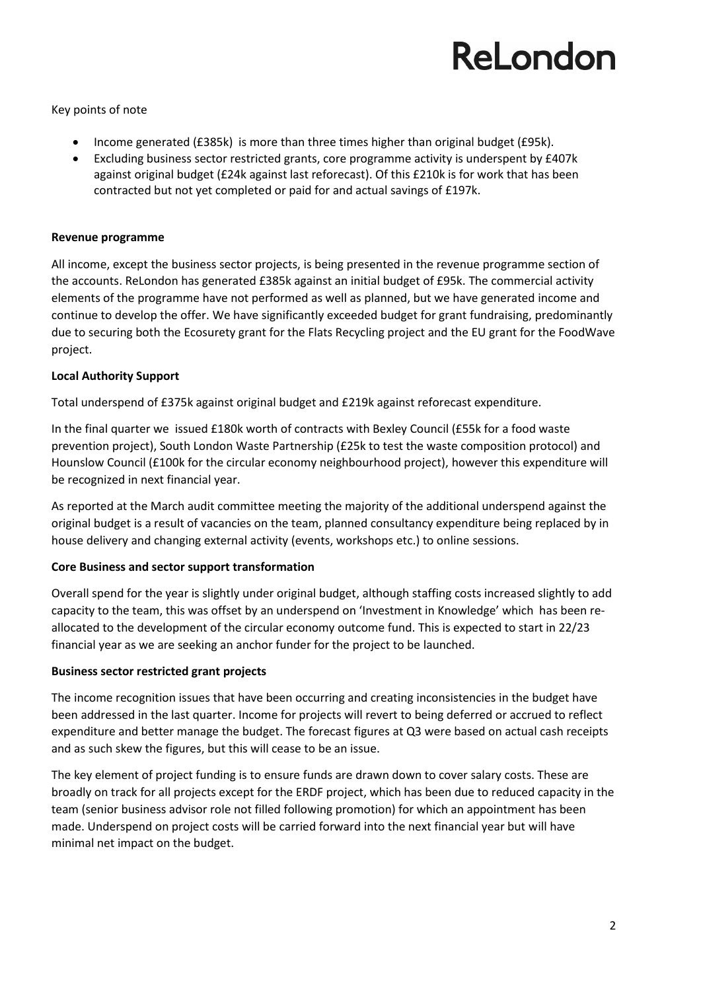Key points of note

- Income generated (£385k) is more than three times higher than original budget (£95k).
- Excluding business sector restricted grants, core programme activity is underspent by £407k against original budget (£24k against last reforecast). Of this £210k is for work that has been contracted but not yet completed or paid for and actual savings of £197k.

#### **Revenue programme**

All income, except the business sector projects, is being presented in the revenue programme section of the accounts. ReLondon has generated £385k against an initial budget of £95k. The commercial activity elements of the programme have not performed as well as planned, but we have generated income and continue to develop the offer. We have significantly exceeded budget for grant fundraising, predominantly due to securing both the Ecosurety grant for the Flats Recycling project and the EU grant for the FoodWave project.

#### **Local Authority Support**

Total underspend of £375k against original budget and £219k against reforecast expenditure.

In the final quarter we issued £180k worth of contracts with Bexley Council (£55k for a food waste prevention project), South London Waste Partnership (£25k to test the waste composition protocol) and Hounslow Council (£100k for the circular economy neighbourhood project), however this expenditure will be recognized in next financial year.

As reported at the March audit committee meeting the majority of the additional underspend against the original budget is a result of vacancies on the team, planned consultancy expenditure being replaced by in house delivery and changing external activity (events, workshops etc.) to online sessions.

#### **Core Business and sector support transformation**

Overall spend for the year is slightly under original budget, although staffing costs increased slightly to add capacity to the team, this was offset by an underspend on 'Investment in Knowledge' which has been reallocated to the development of the circular economy outcome fund. This is expected to start in 22/23 financial year as we are seeking an anchor funder for the project to be launched.

#### **Business sector restricted grant projects**

The income recognition issues that have been occurring and creating inconsistencies in the budget have been addressed in the last quarter. Income for projects will revert to being deferred or accrued to reflect expenditure and better manage the budget. The forecast figures at Q3 were based on actual cash receipts and as such skew the figures, but this will cease to be an issue.

The key element of project funding is to ensure funds are drawn down to cover salary costs. These are broadly on track for all projects except for the ERDF project, which has been due to reduced capacity in the team (senior business advisor role not filled following promotion) for which an appointment has been made. Underspend on project costs will be carried forward into the next financial year but will have minimal net impact on the budget.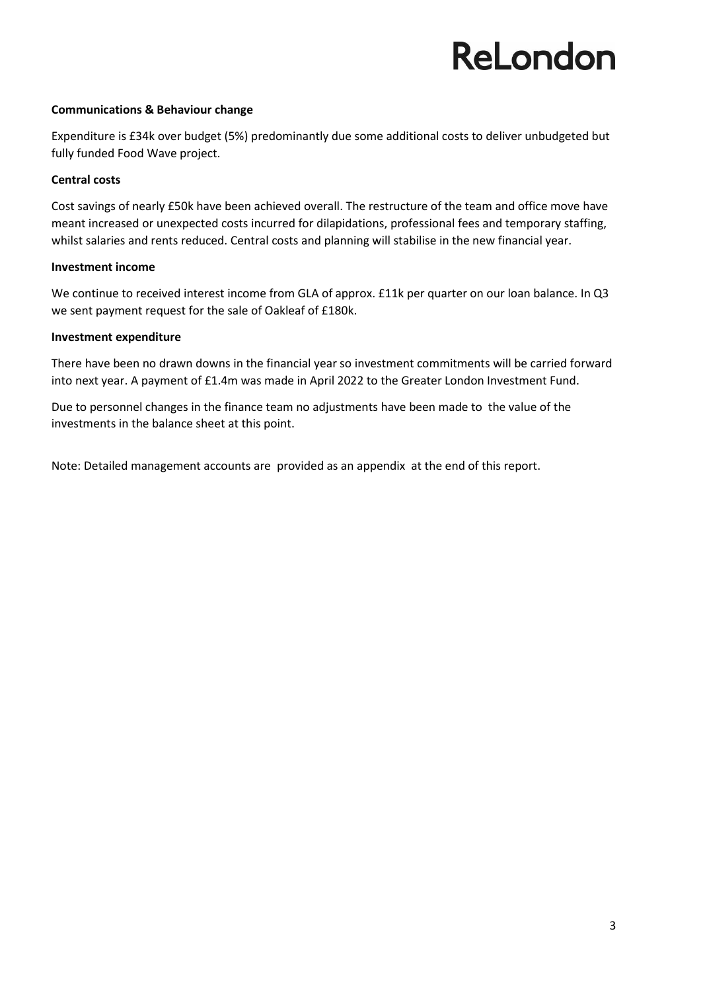#### **Communications & Behaviour change**

Expenditure is £34k over budget (5%) predominantly due some additional costs to deliver unbudgeted but fully funded Food Wave project.

#### **Central costs**

Cost savings of nearly £50k have been achieved overall. The restructure of the team and office move have meant increased or unexpected costs incurred for dilapidations, professional fees and temporary staffing, whilst salaries and rents reduced. Central costs and planning will stabilise in the new financial year.

#### **Investment income**

We continue to received interest income from GLA of approx. £11k per quarter on our loan balance. In Q3 we sent payment request for the sale of Oakleaf of £180k.

#### **Investment expenditure**

There have been no drawn downs in the financial year so investment commitments will be carried forward into next year. A payment of £1.4m was made in April 2022 to the Greater London Investment Fund.

Due to personnel changes in the finance team no adjustments have been made to the value of the investments in the balance sheet at this point.

Note: Detailed management accounts are provided as an appendix at the end of this report.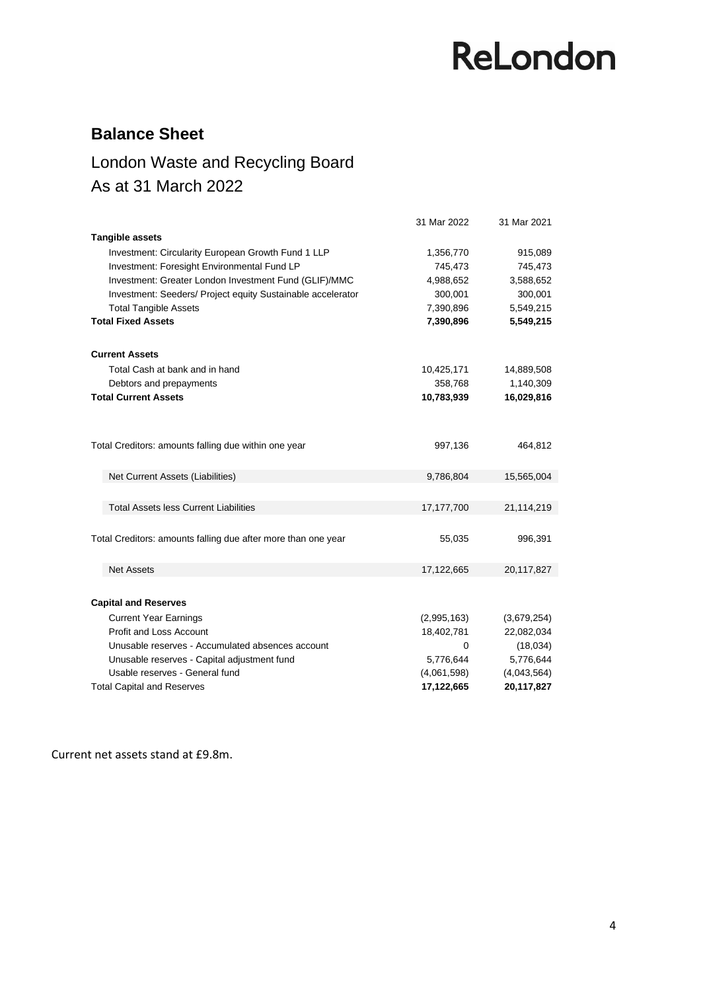### **Balance Sheet**

### London Waste and Recycling Board As at 31 March 2022

|                                                               | 31 Mar 2022 | 31 Mar 2021 |
|---------------------------------------------------------------|-------------|-------------|
| <b>Tangible assets</b>                                        |             |             |
| Investment: Circularity European Growth Fund 1 LLP            | 1,356,770   | 915,089     |
| Investment: Foresight Environmental Fund LP                   | 745,473     | 745,473     |
| Investment: Greater London Investment Fund (GLIF)/MMC         | 4,988,652   | 3,588,652   |
| Investment: Seeders/ Project equity Sustainable accelerator   | 300,001     | 300,001     |
| <b>Total Tangible Assets</b>                                  | 7,390,896   | 5,549,215   |
| <b>Total Fixed Assets</b>                                     | 7,390,896   | 5,549,215   |
| <b>Current Assets</b>                                         |             |             |
| Total Cash at bank and in hand                                | 10,425,171  | 14,889,508  |
| Debtors and prepayments                                       | 358,768     | 1,140,309   |
| <b>Total Current Assets</b>                                   | 10,783,939  | 16,029,816  |
|                                                               |             |             |
| Total Creditors: amounts falling due within one year          | 997,136     | 464,812     |
| Net Current Assets (Liabilities)                              | 9,786,804   | 15,565,004  |
|                                                               |             |             |
| <b>Total Assets less Current Liabilities</b>                  | 17,177,700  | 21,114,219  |
|                                                               |             |             |
| Total Creditors: amounts falling due after more than one year | 55,035      | 996,391     |
|                                                               |             |             |
| <b>Net Assets</b>                                             | 17,122,665  | 20,117,827  |
|                                                               |             |             |
| <b>Capital and Reserves</b>                                   |             |             |
| <b>Current Year Earnings</b>                                  | (2,995,163) | (3,679,254) |
| <b>Profit and Loss Account</b>                                | 18,402,781  | 22,082,034  |
| Unusable reserves - Accumulated absences account              | $\Omega$    | (18,034)    |
| Unusable reserves - Capital adjustment fund                   | 5,776,644   | 5,776,644   |
| Usable reserves - General fund                                | (4,061,598) | (4,043,564) |
| <b>Total Capital and Reserves</b>                             | 17,122,665  | 20,117,827  |

Current net assets stand at £9.8m.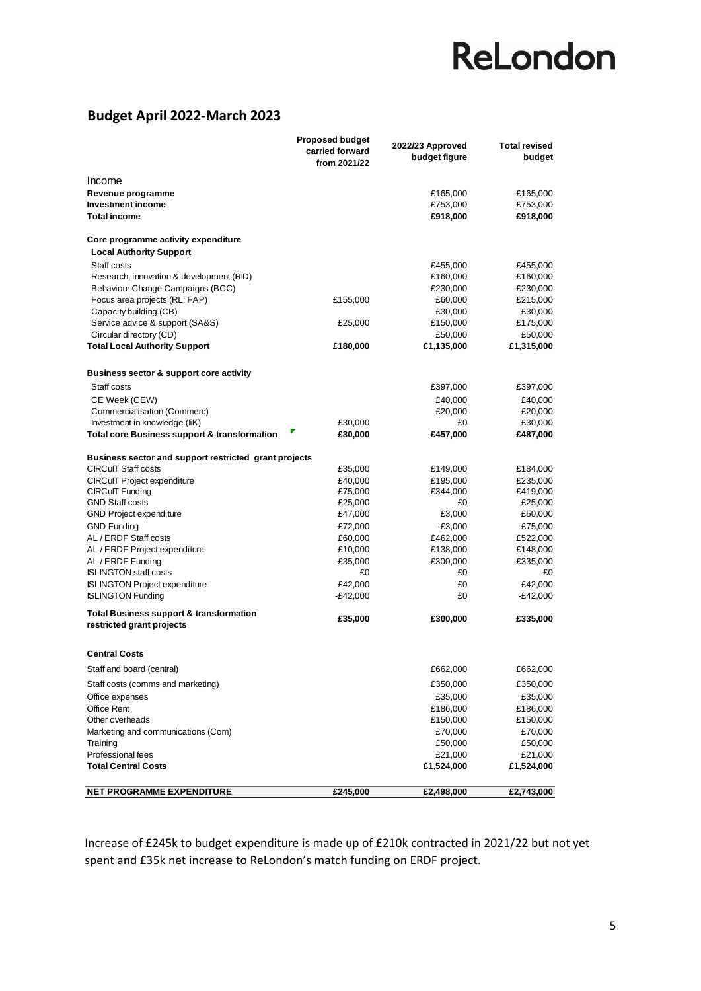### **Budget April 2022-March 2023**

|                                                                                 | <b>Proposed budget</b><br>carried forward<br>from 2021/22 | 2022/23 Approved<br>budget figure | <b>Total revised</b><br>budget |  |
|---------------------------------------------------------------------------------|-----------------------------------------------------------|-----------------------------------|--------------------------------|--|
| Income                                                                          |                                                           |                                   |                                |  |
| Revenue programme                                                               |                                                           | £165,000                          | £165,000                       |  |
| <b>Investment income</b>                                                        |                                                           | £753,000                          | £753,000                       |  |
| <b>Total income</b>                                                             |                                                           | £918,000                          | £918,000                       |  |
| Core programme activity expenditure                                             |                                                           |                                   |                                |  |
| <b>Local Authority Support</b>                                                  |                                                           |                                   |                                |  |
| Staff costs                                                                     |                                                           | £455,000                          | £455,000                       |  |
| Research, innovation & development (RID)                                        |                                                           | £160,000                          | £160,000                       |  |
| Behaviour Change Campaigns (BCC)                                                |                                                           | £230,000                          | £230,000                       |  |
| Focus area projects (RL; FAP)                                                   | £155,000                                                  | £60,000                           | £215,000                       |  |
| Capacity building (CB)                                                          |                                                           | £30,000                           | £30,000                        |  |
| Service advice & support (SA&S)                                                 | £25,000                                                   | £150,000                          | £175,000                       |  |
| Circular directory (CD)                                                         |                                                           | £50,000                           | £50,000                        |  |
| <b>Total Local Authority Support</b>                                            | £180,000                                                  | £1,135,000                        | £1,315,000                     |  |
| <b>Business sector &amp; support core activity</b>                              |                                                           |                                   |                                |  |
| Staff costs                                                                     |                                                           | £397,000                          | £397,000                       |  |
| CE Week (CEW)                                                                   |                                                           | £40,000                           | £40,000                        |  |
| Commercialisation (Commerc)                                                     |                                                           | £20,000                           | £20,000                        |  |
| Investment in knowledge (IiK)                                                   | £30,000                                                   | £0                                | £30,000                        |  |
| <b>Total core Business support &amp; transformation</b>                         | ₹<br>£30,000                                              | £457,000                          | £487,000                       |  |
| Business sector and support restricted grant projects                           |                                                           |                                   |                                |  |
| <b>CIRCuIT Staff costs</b>                                                      | £35,000                                                   | £149,000                          | £184,000                       |  |
| <b>CIRCuIT Project expenditure</b>                                              | £40,000                                                   | £195,000                          | £235,000                       |  |
| <b>CIRCuIT Funding</b>                                                          | $-£75,000$                                                | E344,000-                         | $-£419,000$                    |  |
| <b>GND Staff costs</b><br><b>GND Project expenditure</b>                        | £25,000                                                   | £0<br>£3,000                      | £25,000<br>£50,000             |  |
| <b>GND Funding</b>                                                              | £47,000<br>$-E72,000$                                     | $-£3,000$                         | -£75,000                       |  |
| AL / ERDF Staff costs                                                           | £60,000                                                   | £462,000                          | £522,000                       |  |
| AL / ERDF Project expenditure                                                   | £10,000                                                   | £138,000                          | £148,000                       |  |
| AL/ERDF Funding                                                                 | $-£35,000$                                                | E300,000-                         | -£335,000                      |  |
| <b>ISLINGTON staff costs</b>                                                    | £0                                                        | £0                                | £0                             |  |
| <b>ISLINGTON Project expenditure</b>                                            | £42,000                                                   | £0                                | £42,000                        |  |
| <b>ISLINGTON Funding</b>                                                        | $-E42,000$                                                | £0                                | -£42,000                       |  |
| <b>Total Business support &amp; transformation</b><br>restricted grant projects | £35,000                                                   | £300,000                          | £335,000                       |  |
| <b>Central Costs</b>                                                            |                                                           |                                   |                                |  |
| Staff and board (central)                                                       |                                                           | £662,000                          | £662,000                       |  |
| Staff costs (comms and marketing)                                               |                                                           | £350,000                          | £350,000                       |  |
| Office expenses                                                                 |                                                           | £35,000                           | £35,000                        |  |
| Office Rent                                                                     |                                                           | £186,000                          | £186,000                       |  |
| Other overheads                                                                 |                                                           | £150,000                          | £150,000                       |  |
| Marketing and communications (Com)                                              |                                                           | £70,000                           | £70,000                        |  |
| Training                                                                        |                                                           | £50,000                           | £50,000                        |  |
| Professional fees                                                               |                                                           | £21,000                           | £21,000                        |  |
| <b>Total Central Costs</b>                                                      |                                                           | £1,524,000                        | £1,524,000                     |  |
| <b>NET PROGRAMME EXPENDITURE</b>                                                | £245,000                                                  | £2,498,000                        | £2,743,000                     |  |

Increase of £245k to budget expenditure is made up of £210k contracted in 2021/22 but not yet spent and £35k net increase to ReLondon's match funding on ERDF project.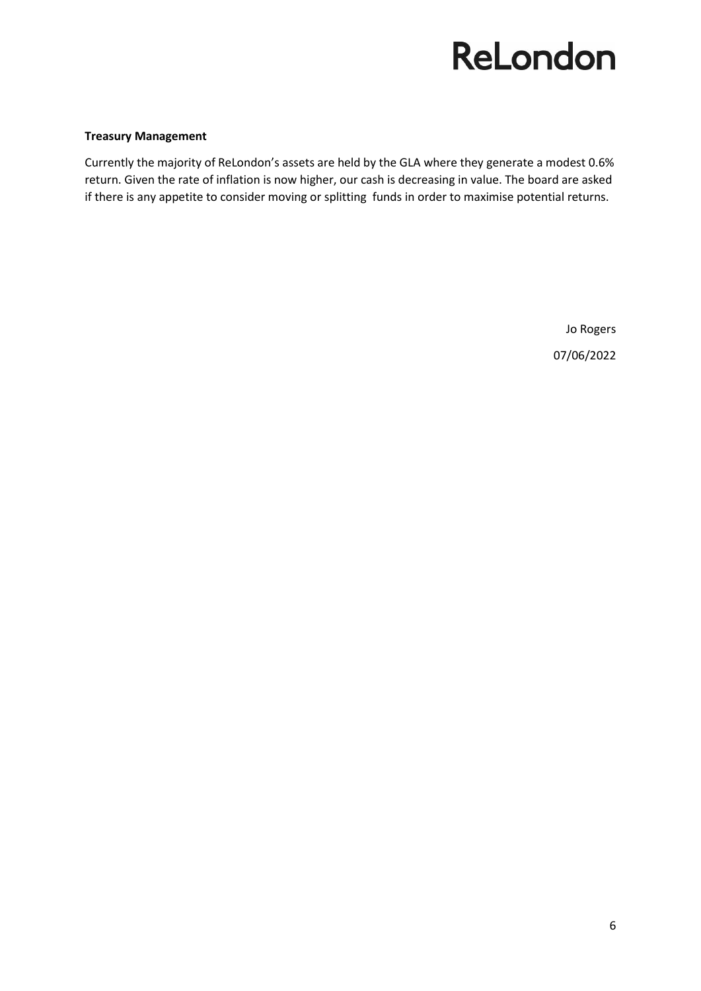#### **Treasury Management**

Currently the majority of ReLondon's assets are held by the GLA where they generate a modest 0.6% return. Given the rate of inflation is now higher, our cash is decreasing in value. The board are asked if there is any appetite to consider moving or splitting funds in order to maximise potential returns.

> Jo Rogers 07/06/2022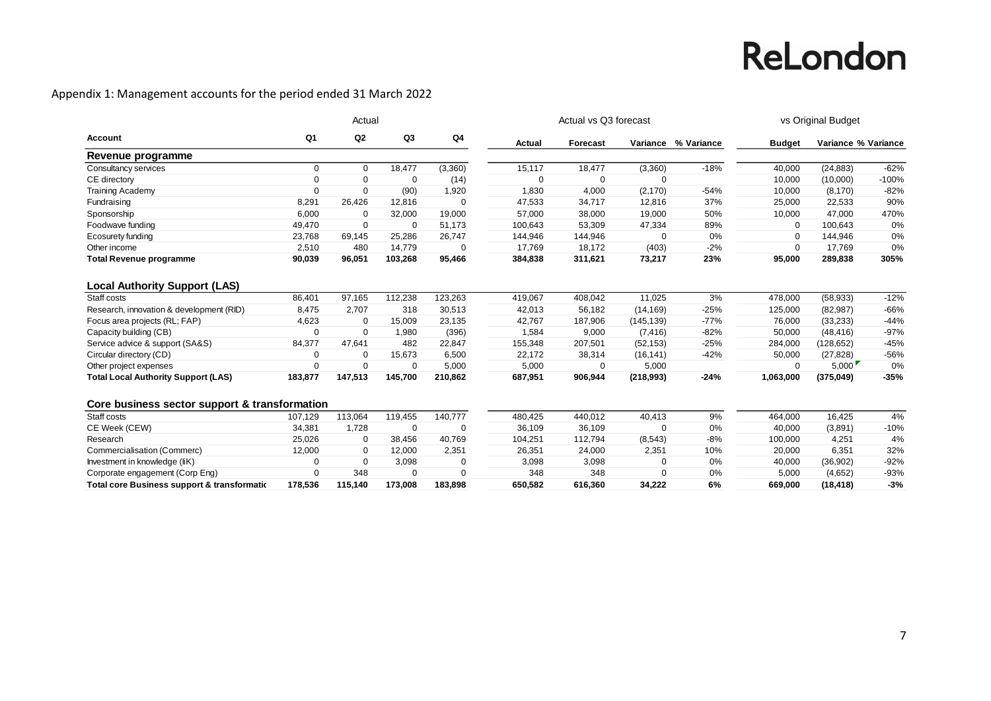### Appendix 1: Management accounts for the period ended 31 March 2022

|                                               |             | Actual         |             |          |          | Actual vs Q3 forecast | vs Original Budget |                     |               |                     |         |
|-----------------------------------------------|-------------|----------------|-------------|----------|----------|-----------------------|--------------------|---------------------|---------------|---------------------|---------|
| Account                                       | Q1          | Q <sub>2</sub> | Q3          | Q4       | Actual   | Forecast              |                    | Variance % Variance | <b>Budget</b> | Variance % Variance |         |
| Revenue programme                             |             |                |             |          |          |                       |                    |                     |               |                     |         |
| Consultancy services                          | $\Omega$    | $\Omega$       | 18,477      | (3,360)  | 15,117   | 18,477                | (3,360)            | $-18%$              | 40,000        | (24, 883)           | $-62%$  |
| CE directory                                  | 0           | $\mathbf 0$    | $\Omega$    | (14)     | $\Omega$ | $\Omega$              | $\Omega$           |                     | 10,000        | (10,000)            | $-100%$ |
| <b>Training Academy</b>                       | $\Omega$    | $\Omega$       | (90)        | 1,920    | 1,830    | 4,000                 | (2, 170)           | $-54%$              | 10,000        | (8, 170)            | $-82%$  |
| Fundraising                                   | 8,291       | 26,426         | 12,816      | $\Omega$ | 47,533   | 34,717                | 12,816             | 37%                 | 25,000        | 22,533              | 90%     |
| Sponsorship                                   | 6,000       | 0              | 32,000      | 19,000   | 57,000   | 38,000                | 19,000             | 50%                 | 10,000        | 47,000              | 470%    |
| Foodwave funding                              | 49,470      | $\mathbf 0$    | $\mathbf 0$ | 51,173   | 100,643  | 53,309                | 47,334             | 89%                 | 0             | 100,643             | 0%      |
| Ecosurety funding                             | 23,768      | 69,145         | 25,286      | 26,747   | 144,946  | 144,946               | $\Omega$           | 0%                  | $\Omega$      | 144,946             | 0%      |
| Other income                                  | 2,510       | 480            | 14,779      | $\Omega$ | 17,769   | 18,172                | (403)              | $-2%$               | 0             | 17,769              | 0%      |
| <b>Total Revenue programme</b>                | 90,039      | 96,051         | 103,268     | 95,466   | 384,838  | 311,621               | 73,217             | 23%                 | 95,000        | 289,838             | 305%    |
| <b>Local Authority Support (LAS)</b>          |             |                |             |          |          |                       |                    |                     |               |                     |         |
| Staff costs                                   | 86,401      | 97,165         | 112,238     | 123,263  | 419,067  | 408,042               | 11,025             | 3%                  | 478,000       | (58, 933)           | $-12%$  |
| Research, innovation & development (RID)      | 8,475       | 2,707          | 318         | 30,513   | 42,013   | 56,182                | (14, 169)          | $-25%$              | 125,000       | (82, 987)           | $-66%$  |
| Focus area projects (RL; FAP)                 | 4,623       | $\Omega$       | 15,009      | 23,135   | 42,767   | 187,906               | (145, 139)         | $-77%$              | 76,000        | (33, 233)           | $-44%$  |
| Capacity building (CB)                        | $\mathbf 0$ | $\mathbf 0$    | 1.980       | (396)    | 1,584    | 9,000                 | (7, 416)           | $-82%$              | 50,000        | (48, 416)           | $-97%$  |
| Service advice & support (SA&S)               | 84,377      | 47,641         | 482         | 22,847   | 155,348  | 207,501               | (52, 153)          | $-25%$              | 284,000       | (128, 652)          | $-45%$  |
| Circular directory (CD)                       | $\mathbf 0$ | 0              | 15,673      | 6,500    | 22,172   | 38,314                | (16, 141)          | $-42%$              | 50,000        | (27, 828)           | $-56%$  |
| Other project expenses                        | $\mathbf 0$ | $\Omega$       | $\mathbf 0$ | 5,000    | 5,000    | 0                     | 5,000              |                     | $\Omega$      | 5,000               | 0%      |
| <b>Total Local Authority Support (LAS)</b>    | 183,877     | 147,513        | 145,700     | 210,862  | 687,951  | 906,944               | (218,993)          | $-24%$              | 1,063,000     | (375, 049)          | $-35%$  |
| Core business sector support & transformation |             |                |             |          |          |                       |                    |                     |               |                     |         |
| Staff costs                                   | 107,129     | 113,064        | 119,455     | 140,777  | 480,425  | 440,012               | 40,413             | 9%                  | 464,000       | 16,425              | 4%      |
| CE Week (CEW)                                 | 34,381      | 1,728          | $\mathbf 0$ | $\Omega$ | 36,109   | 36,109                | $\Omega$           | 0%                  | 40,000        | (3,891)             | $-10%$  |
| Research                                      | 25,026      | 0              | 38,456      | 40,769   | 104,251  | 112,794               | (8,543)            | $-8%$               | 100,000       | 4,251               | 4%      |
| Commercialisation (Commerc)                   | 12,000      | $\Omega$       | 12,000      | 2,351    | 26,351   | 24,000                | 2,351              | 10%                 | 20,000        | 6,351               | 32%     |
| Investment in knowledge (liK)                 | $\mathbf 0$ | $\mathbf 0$    | 3,098       | 0        | 3,098    | 3,098                 | $\Omega$           | 0%                  | 40,000        | (36,902)            | $-92%$  |
| Corporate engagement (Corp Eng)               | $\Omega$    | 348            | $\Omega$    | $\Omega$ | 348      | 348                   | $\Omega$           | 0%                  | 5,000         | (4,652)             | $-93%$  |
| Total core Business support & transformatic   | 178.536     | 115,140        | 173.008     | 183.898  | 650.582  | 616.360               | 34.222             | 6%                  | 669,000       | (18, 418)           | $-3%$   |